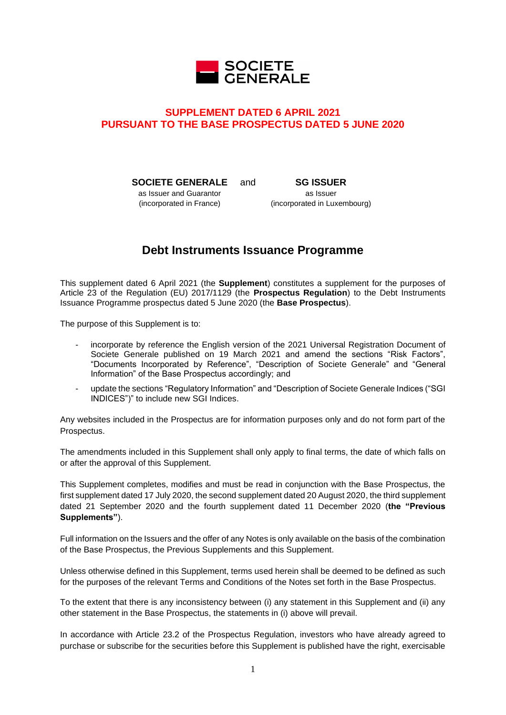

# **SUPPLEMENT DATED 6 APRIL 2021 PURSUANT TO THE BASE PROSPECTUS DATED 5 JUNE 2020**

**SOCIETE GENERALE**

as Issuer and Guarantor (incorporated in France)

**SG ISSUER** as Issuer (incorporated in Luxembourg)

# **Debt Instruments Issuance Programme**

This supplement dated 6 April 2021 (the **Supplement**) constitutes a supplement for the purposes of Article 23 of the Regulation (EU) 2017/1129 (the **Prospectus Regulation**) to the Debt Instruments Issuance Programme prospectus dated 5 June 2020 (the **Base Prospectus**).

The purpose of this Supplement is to:

- incorporate by reference the English version of the 2021 Universal Registration Document of Societe Generale published on 19 March 2021 and amend the sections "Risk Factors", "Documents Incorporated by Reference", "Description of Societe Generale" and "General Information" of the Base Prospectus accordingly; and
- update the sections "Regulatory Information" and "Description of Societe Generale Indices ("SGI INDICES")" to include new SGI Indices.

Any websites included in the Prospectus are for information purposes only and do not form part of the Prospectus.

The amendments included in this Supplement shall only apply to final terms, the date of which falls on or after the approval of this Supplement.

This Supplement completes, modifies and must be read in conjunction with the Base Prospectus, the first supplement dated 17 July 2020, the second supplement dated 20 August 2020, the third supplement dated 21 September 2020 and the fourth supplement dated 11 December 2020 (**the "Previous Supplements"**).

Full information on the Issuers and the offer of any Notes is only available on the basis of the combination of the Base Prospectus, the Previous Supplements and this Supplement.

Unless otherwise defined in this Supplement, terms used herein shall be deemed to be defined as such for the purposes of the relevant Terms and Conditions of the Notes set forth in the Base Prospectus.

To the extent that there is any inconsistency between (i) any statement in this Supplement and (ii) any other statement in the Base Prospectus, the statements in (i) above will prevail.

In accordance with Article 23.2 of the Prospectus Regulation, investors who have already agreed to purchase or subscribe for the securities before this Supplement is published have the right, exercisable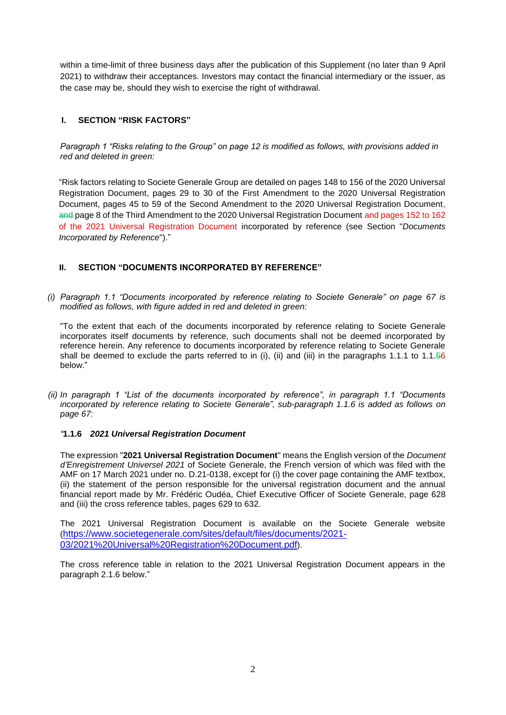within a time-limit of three business days after the publication of this Supplement (no later than 9 April 2021) to withdraw their acceptances. Investors may contact the financial intermediary or the issuer, as the case may be, should they wish to exercise the right of withdrawal.

## **I. SECTION "RISK FACTORS"**

*Paragraph 1 "Risks relating to the Group" on page 12 is modified as follows, with provisions added in red and deleted in green:*

"Risk factors relating to Societe Generale Group are detailed on pages 148 to 156 of the 2020 Universal Registration Document, pages 29 to 30 of the First Amendment to the 2020 Universal Registration Document, pages 45 to 59 of the Second Amendment to the 2020 Universal Registration Document, and page 8 of the Third Amendment to the 2020 Universal Registration Document and pages 152 to 162 of the 2021 Universal Registration Document incorporated by reference (see Section "*Documents Incorporated by Reference*")."

## **II. SECTION "DOCUMENTS INCORPORATED BY REFERENCE"**

*(i) Paragraph 1.1 "Documents incorporated by reference relating to Societe Generale" on page 67 is modified as follows, with figure added in red and deleted in green:*

"To the extent that each of the documents incorporated by reference relating to Societe Generale incorporates itself documents by reference, such documents shall not be deemed incorporated by reference herein. Any reference to documents incorporated by reference relating to Societe Generale shall be deemed to exclude the parts referred to in (i), (ii) and (iii) in the paragraphs 1.1.1 to 1.1.56 below."

*(ii) In paragraph 1 "List of the documents incorporated by reference", in paragraph 1.1 "Documents incorporated by reference relating to Societe Generale", sub-paragraph 1.1.6 is added as follows on page 67:*

#### *"***1.1.6** *2021 Universal Registration Document*

The expression "**2021 Universal Registration Document**" means the English version of the *Document d'Enregistrement Universel 2021* of Societe Generale, the French version of which was filed with the AMF on 17 March 2021 under no. D.21-0138, except for (i) the cover page containing the AMF textbox, (ii) the statement of the person responsible for the universal registration document and the annual financial report made by Mr. Frédéric Oudéa, Chief Executive Officer of Societe Generale, page 628 and (iii) the cross reference tables, pages 629 to 632.

The 2021 Universal Registration Document is available on the Societe Generale website ([https://www.societegenerale.com/sites/default/files/documents/2021-](https://www.societegenerale.com/sites/default/files/documents/2021-03/2021%20Universal%20Registration%20Document.pdf) [03/2021%20Universal%20Registration%20Document.pdf](https://www.societegenerale.com/sites/default/files/documents/2021-03/2021%20Universal%20Registration%20Document.pdf)).

The cross reference table in relation to the 2021 Universal Registration Document appears in the paragraph 2.1.6 below."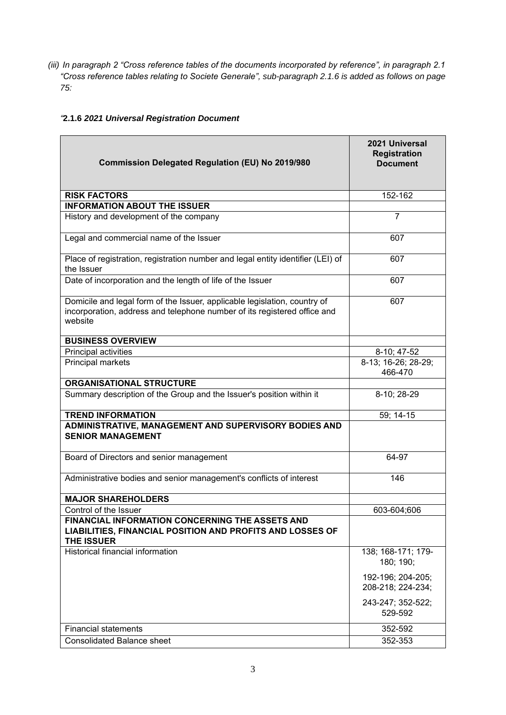*(iii) In paragraph 2 "Cross reference tables of the documents incorporated by reference", in paragraph 2.1 "Cross reference tables relating to Societe Generale", sub-paragraph 2.1.6 is added as follows on page 75:*

# *"***2.1.6** *2021 Universal Registration Document*

| <b>Commission Delegated Regulation (EU) No 2019/980</b>                                                                                                          | 2021 Universal<br><b>Registration</b><br><b>Document</b> |
|------------------------------------------------------------------------------------------------------------------------------------------------------------------|----------------------------------------------------------|
| <b>RISK FACTORS</b>                                                                                                                                              | 152-162                                                  |
| <b>INFORMATION ABOUT THE ISSUER</b>                                                                                                                              |                                                          |
| History and development of the company                                                                                                                           | $\overline{7}$                                           |
| Legal and commercial name of the Issuer                                                                                                                          | 607                                                      |
| Place of registration, registration number and legal entity identifier (LEI) of<br>the Issuer                                                                    | 607                                                      |
| Date of incorporation and the length of life of the Issuer                                                                                                       | 607                                                      |
| Domicile and legal form of the Issuer, applicable legislation, country of<br>incorporation, address and telephone number of its registered office and<br>website | 607                                                      |
| <b>BUSINESS OVERVIEW</b>                                                                                                                                         |                                                          |
| Principal activities                                                                                                                                             | 8-10; 47-52                                              |
| Principal markets                                                                                                                                                | 8-13; 16-26; 28-29;<br>466-470                           |
| <b>ORGANISATIONAL STRUCTURE</b>                                                                                                                                  |                                                          |
| Summary description of the Group and the Issuer's position within it                                                                                             | 8-10; 28-29                                              |
| <b>TREND INFORMATION</b>                                                                                                                                         | 59; 14-15                                                |
| ADMINISTRATIVE, MANAGEMENT AND SUPERVISORY BODIES AND<br><b>SENIOR MANAGEMENT</b>                                                                                |                                                          |
| Board of Directors and senior management                                                                                                                         | 64-97                                                    |
| Administrative bodies and senior management's conflicts of interest                                                                                              | 146                                                      |
| <b>MAJOR SHAREHOLDERS</b>                                                                                                                                        |                                                          |
| Control of the Issuer                                                                                                                                            | 603-604;606                                              |
| FINANCIAL INFORMATION CONCERNING THE ASSETS AND<br>LIABILITIES, FINANCIAL POSITION AND PROFITS AND LOSSES OF<br><b>THE ISSUER</b>                                |                                                          |
| <b>Historical financial information</b>                                                                                                                          | 138; 168-171; 179-<br>180; 190;                          |
|                                                                                                                                                                  | 192-196; 204-205;<br>208-218; 224-234;                   |
|                                                                                                                                                                  | 243-247; 352-522;<br>529-592                             |
| <b>Financial statements</b>                                                                                                                                      | 352-592                                                  |
| <b>Consolidated Balance sheet</b>                                                                                                                                | 352-353                                                  |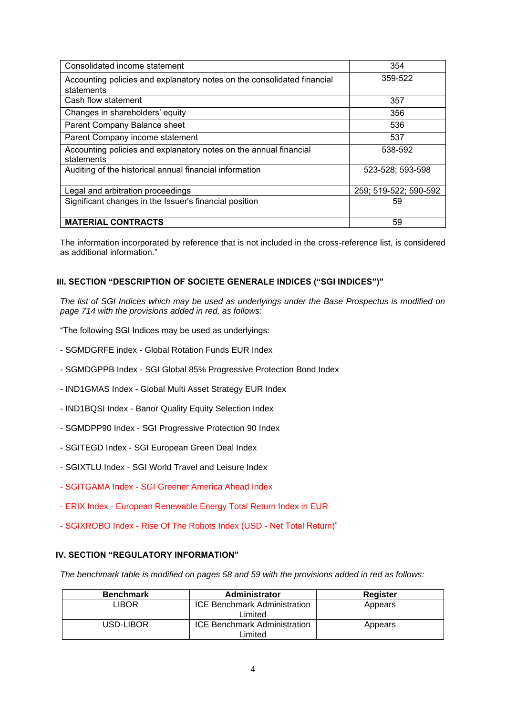| Consolidated income statement                                                   | 354                   |
|---------------------------------------------------------------------------------|-----------------------|
| Accounting policies and explanatory notes on the consolidated financial         | 359-522               |
| statements                                                                      |                       |
| Cash flow statement                                                             | 357                   |
| Changes in shareholders' equity                                                 | 356                   |
| Parent Company Balance sheet                                                    | 536                   |
| Parent Company income statement                                                 | 537                   |
| Accounting policies and explanatory notes on the annual financial<br>statements | 538-592               |
| Auditing of the historical annual financial information                         | 523-528; 593-598      |
| Legal and arbitration proceedings                                               | 259; 519-522; 590-592 |
| Significant changes in the Issuer's financial position                          | 59                    |
| <b>MATERIAL CONTRACTS</b>                                                       | 59                    |

The information incorporated by reference that is not included in the cross-reference list, is considered as additional information."

#### **III. SECTION "DESCRIPTION OF SOCIETE GENERALE INDICES ("SGI INDICES")"**

*The list of SGI Indices which may be used as underlyings under the Base Prospectus is modified on page 714 with the provisions added in red, as follows:* 

- "The following SGI Indices may be used as underlyings:
- SGMDGRFE index Global Rotation Funds EUR Index
- SGMDGPPB Index SGI Global 85% Progressive Protection Bond Index
- IND1GMAS Index Global Multi Asset Strategy EUR Index
- IND1BQSI Index Banor Quality Equity Selection Index
- SGMDPP90 Index SGI Progressive Protection 90 Index
- SGITEGD Index SGI European Green Deal Index
- SGIXTLU Index SGI World Travel and Leisure Index
- SGITGAMA Index SGI Greener America Ahead Index
- ERIX Index European Renewable Energy Total Return Index in EUR
- SGIXROBO Index Rise Of The Robots Index (USD Net Total Return)"

#### **IV. SECTION "REGULATORY INFORMATION"**

*The benchmark table is modified on pages 58 and 59 with the provisions added in red as follows:*

| <b>Benchmark</b> | Administrator                                  | Register |
|------------------|------------------------------------------------|----------|
| _IBOR            | <b>ICE Benchmark Administration</b><br>Limited | Appears  |
| USD-LIBOR        | <b>ICE Benchmark Administration</b><br>Limited | Appears  |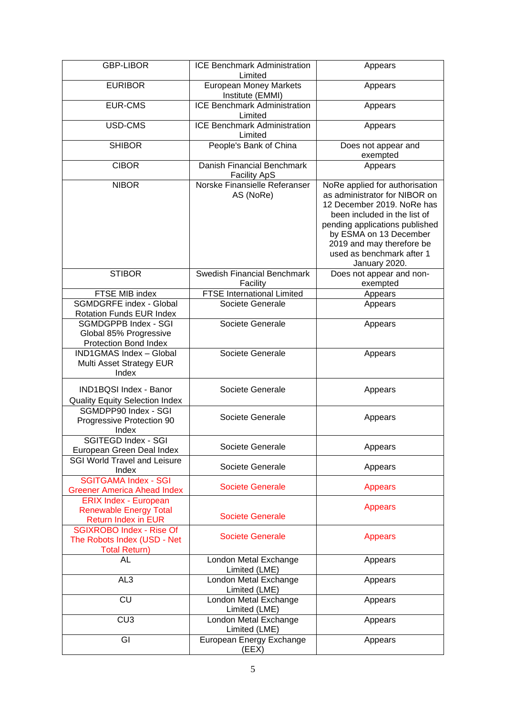| <b>GBP-LIBOR</b>                                                                            | <b>ICE Benchmark Administration</b><br>Limited    | Appears                                                                                                                                                                                                                                                              |
|---------------------------------------------------------------------------------------------|---------------------------------------------------|----------------------------------------------------------------------------------------------------------------------------------------------------------------------------------------------------------------------------------------------------------------------|
| <b>EURIBOR</b>                                                                              | <b>European Money Markets</b><br>Institute (EMMI) | Appears                                                                                                                                                                                                                                                              |
| <b>EUR-CMS</b>                                                                              | <b>ICE Benchmark Administration</b><br>Limited    | Appears                                                                                                                                                                                                                                                              |
| USD-CMS                                                                                     | <b>ICE Benchmark Administration</b><br>Limited    | Appears                                                                                                                                                                                                                                                              |
| <b>SHIBOR</b>                                                                               | People's Bank of China                            | Does not appear and<br>exempted                                                                                                                                                                                                                                      |
| <b>CIBOR</b>                                                                                | Danish Financial Benchmark<br><b>Facility ApS</b> | Appears                                                                                                                                                                                                                                                              |
| <b>NIBOR</b>                                                                                | Norske Finansielle Referanser<br>AS (NoRe)        | NoRe applied for authorisation<br>as administrator for NIBOR on<br>12 December 2019. NoRe has<br>been included in the list of<br>pending applications published<br>by ESMA on 13 December<br>2019 and may therefore be<br>used as benchmark after 1<br>January 2020. |
| <b>STIBOR</b>                                                                               | <b>Swedish Financial Benchmark</b><br>Facility    | Does not appear and non-<br>exempted                                                                                                                                                                                                                                 |
| FTSE MIB index                                                                              | <b>FTSE International Limited</b>                 | Appears                                                                                                                                                                                                                                                              |
| <b>SGMDGRFE index - Global</b><br><b>Rotation Funds EUR Index</b>                           | Societe Generale                                  | Appears                                                                                                                                                                                                                                                              |
| <b>SGMDGPPB Index - SGI</b><br>Global 85% Progressive<br><b>Protection Bond Index</b>       | Societe Generale                                  | Appears                                                                                                                                                                                                                                                              |
| <b>IND1GMAS Index - Global</b><br>Multi Asset Strategy EUR<br>Index                         | Societe Generale                                  | Appears                                                                                                                                                                                                                                                              |
| IND1BQSI Index - Banor<br><b>Quality Equity Selection Index</b>                             | Societe Generale                                  | Appears                                                                                                                                                                                                                                                              |
| SGMDPP90 Index - SGI<br>Progressive Protection 90<br>Index                                  | Societe Generale                                  | Appears                                                                                                                                                                                                                                                              |
| <b>SGITEGD Index - SGI</b><br>European Green Deal Index                                     | Societe Generale                                  | Appears                                                                                                                                                                                                                                                              |
| <b>SGI World Travel and Leisure</b><br>Index                                                | Societe Generale                                  | Appears                                                                                                                                                                                                                                                              |
| <b>SGITGAMA Index - SGI</b><br><b>Greener America Ahead Index</b>                           | <b>Societe Generale</b>                           | <b>Appears</b>                                                                                                                                                                                                                                                       |
| <b>ERIX Index - European</b><br><b>Renewable Energy Total</b><br><b>Return Index in EUR</b> | <b>Societe Generale</b>                           | <b>Appears</b>                                                                                                                                                                                                                                                       |
| <b>SGIXROBO Index - Rise Of</b><br>The Robots Index (USD - Net<br><b>Total Return)</b>      | <b>Societe Generale</b>                           | <b>Appears</b>                                                                                                                                                                                                                                                       |
| AL                                                                                          | London Metal Exchange<br>Limited (LME)            | Appears                                                                                                                                                                                                                                                              |
| AL <sub>3</sub>                                                                             | London Metal Exchange<br>Limited (LME)            | Appears                                                                                                                                                                                                                                                              |
| $\overline{\text{CU}}$                                                                      | London Metal Exchange<br>Limited (LME)            | Appears                                                                                                                                                                                                                                                              |
| CU <sub>3</sub>                                                                             | London Metal Exchange<br>Limited (LME)            | Appears                                                                                                                                                                                                                                                              |
| GI                                                                                          | European Energy Exchange<br>(EEX)                 | Appears                                                                                                                                                                                                                                                              |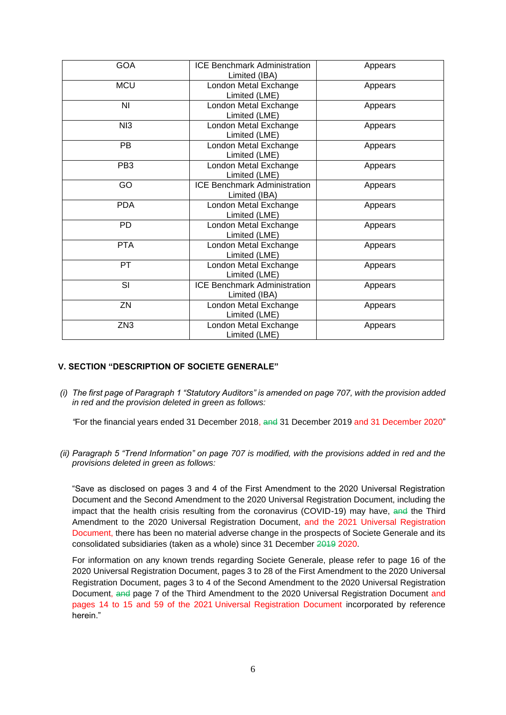| <b>GOA</b>      | <b>ICE Benchmark Administration</b><br>Limited (IBA) | Appears |
|-----------------|------------------------------------------------------|---------|
| <b>MCU</b>      | London Metal Exchange<br>Limited (LME)               | Appears |
| ΝI              | London Metal Exchange<br>Limited (LME)               | Appears |
| N <sub>13</sub> | London Metal Exchange<br>Limited (LME)               | Appears |
| <b>PB</b>       | London Metal Exchange<br>Limited (LME)               | Appears |
| PB <sub>3</sub> | London Metal Exchange<br>Limited (LME)               | Appears |
| GO              | <b>ICE Benchmark Administration</b><br>Limited (IBA) | Appears |
| <b>PDA</b>      | London Metal Exchange<br>Limited (LME)               | Appears |
| <b>PD</b>       | London Metal Exchange<br>Limited (LME)               | Appears |
| <b>PTA</b>      | London Metal Exchange<br>Limited (LME)               | Appears |
| <b>PT</b>       | London Metal Exchange<br>Limited (LME)               | Appears |
| SI              | <b>ICE Benchmark Administration</b><br>Limited (IBA) | Appears |
| ZN              | London Metal Exchange<br>Limited (LME)               | Appears |
| ZN <sub>3</sub> | London Metal Exchange<br>Limited (LME)               | Appears |

#### **V. SECTION "DESCRIPTION OF SOCIETE GENERALE"**

*(i) The first page of Paragraph 1 "Statutory Auditors" is amended on page 707, with the provision added in red and the provision deleted in green as follows:* 

*"*For the financial years ended 31 December 2018, and 31 December 2019 and 31 December 2020"

*(ii) Paragraph 5 "Trend Information" on page 707 is modified, with the provisions added in red and the provisions deleted in green as follows:*

"Save as disclosed on pages 3 and 4 of the First Amendment to the 2020 Universal Registration Document and the Second Amendment to the 2020 Universal Registration Document, including the impact that the health crisis resulting from the coronavirus (COVID-19) may have, and the Third Amendment to the 2020 Universal Registration Document, and the 2021 Universal Registration Document, there has been no material adverse change in the prospects of Societe Generale and its consolidated subsidiaries (taken as a whole) since 31 December 2019 2020.

For information on any known trends regarding Societe Generale, please refer to page 16 of the 2020 Universal Registration Document, pages 3 to 28 of the First Amendment to the 2020 Universal Registration Document, pages 3 to 4 of the Second Amendment to the 2020 Universal Registration Document, and page 7 of the Third Amendment to the 2020 Universal Registration Document and pages 14 to 15 and 59 of the 2021 Universal Registration Document incorporated by reference herein."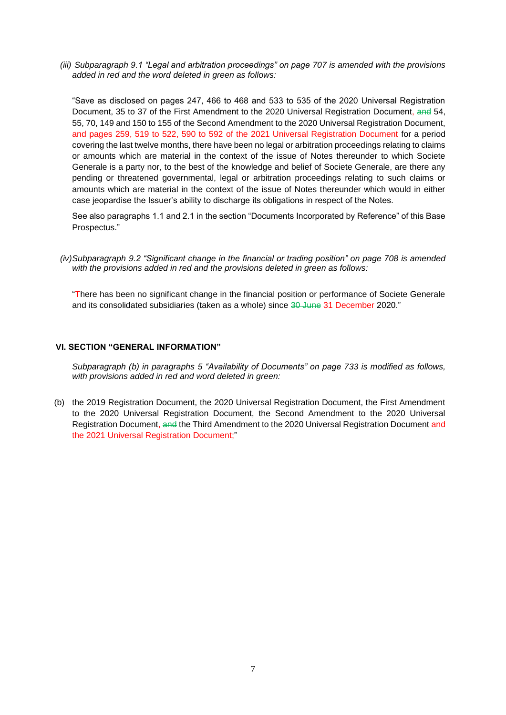*(iii) Subparagraph 9.1 "Legal and arbitration proceedings" on page 707 is amended with the provisions added in red and the word deleted in green as follows:*

"Save as disclosed on pages 247, 466 to 468 and 533 to 535 of the 2020 Universal Registration Document, 35 to 37 of the First Amendment to the 2020 Universal Registration Document, and 54. 55, 70, 149 and 150 to 155 of the Second Amendment to the 2020 Universal Registration Document, and pages 259, 519 to 522, 590 to 592 of the 2021 Universal Registration Document for a period covering the last twelve months, there have been no legal or arbitration proceedings relating to claims or amounts which are material in the context of the issue of Notes thereunder to which Societe Generale is a party nor, to the best of the knowledge and belief of Societe Generale, are there any pending or threatened governmental, legal or arbitration proceedings relating to such claims or amounts which are material in the context of the issue of Notes thereunder which would in either case jeopardise the Issuer's ability to discharge its obligations in respect of the Notes.

See also paragraphs 1.1 and 2.1 in the section "Documents Incorporated by Reference" of this Base Prospectus."

*(iv)Subparagraph 9.2 "Significant change in the financial or trading position" on page 708 is amended with the provisions added in red and the provisions deleted in green as follows:*

"There has been no significant change in the financial position or performance of Societe Generale and its consolidated subsidiaries (taken as a whole) since 30 June 31 December 2020."

#### **VI. SECTION "GENERAL INFORMATION"**

*Subparagraph (b) in paragraphs 5 "Availability of Documents" on page 733 is modified as follows, with provisions added in red and word deleted in green:*

(b) the 2019 Registration Document, the 2020 Universal Registration Document, the First Amendment to the 2020 Universal Registration Document, the Second Amendment to the 2020 Universal Registration Document, and the Third Amendment to the 2020 Universal Registration Document and the 2021 Universal Registration Document;"